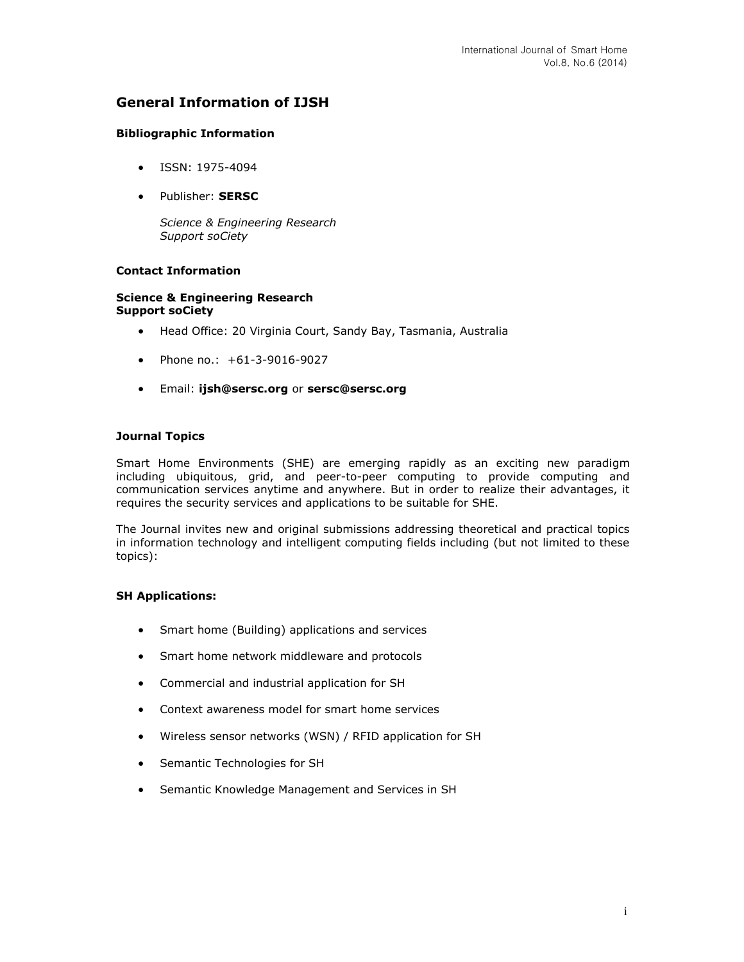## **General Information of IJSH**

## **Bibliographic Information**

- ISSN: 1975-4094
- Publisher: **SERSC**

*Science & Engineering Research Support soCiety*

## **Contact Information**

#### **Science & Engineering Research Support soCiety**

- Head Office: 20 Virginia Court, Sandy Bay, Tasmania, Australia
- Phone no.: +61-3-9016-9027
- Email: **[ijsh@sersc.org](mailto:ijsh@sersc.org)** or **[sersc@sersc.org](mailto:sersc@sersc.org)**

## **Journal Topics**

Smart Home Environments (SHE) are emerging rapidly as an exciting new paradigm including ubiquitous, grid, and peer-to-peer computing to provide computing and communication services anytime and anywhere. But in order to realize their advantages, it requires the security services and applications to be suitable for SHE.

The Journal invites new and original submissions addressing theoretical and practical topics in information technology and intelligent computing fields including (but not limited to these topics):

## **SH Applications:**

- Smart home (Building) applications and services
- Smart home network middleware and protocols
- Commercial and industrial application for SH
- Context awareness model for smart home services
- Wireless sensor networks (WSN) / RFID application for SH
- Semantic Technologies for SH
- Semantic Knowledge Management and Services in SH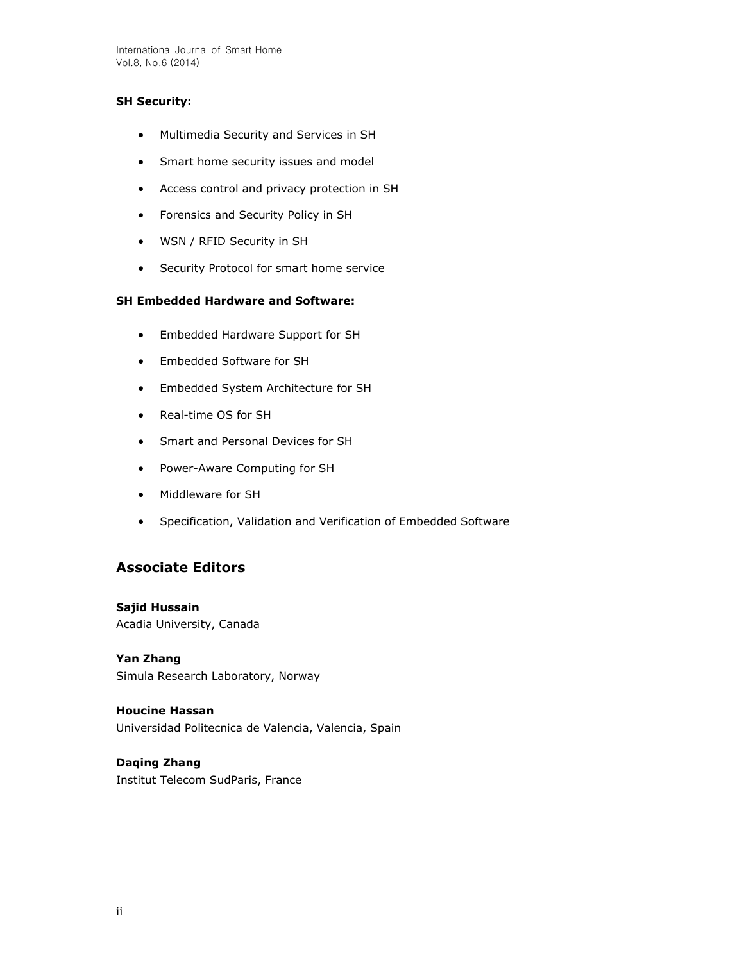International Journal of Smart Home Vol.8, No.6 (2014)

## **SH Security:**

- Multimedia Security and Services in SH
- Smart home security issues and model
- Access control and privacy protection in SH
- Forensics and Security Policy in SH
- WSN / RFID Security in SH
- **•** Security Protocol for smart home service

## **SH Embedded Hardware and Software:**

- Embedded Hardware Support for SH
- Embedded Software for SH
- Embedded System Architecture for SH
- Real-time OS for SH
- Smart and Personal Devices for SH
- Power-Aware Computing for SH
- Middleware for SH
- Specification, Validation and Verification of Embedded Software

## **Associate Editors**

**Sajid Hussain** Acadia University, Canada

**Yan Zhang**  Simula Research Laboratory, Norway

**Houcine Hassan**  Universidad Politecnica de Valencia, Valencia, Spain

# **Daqing Zhang**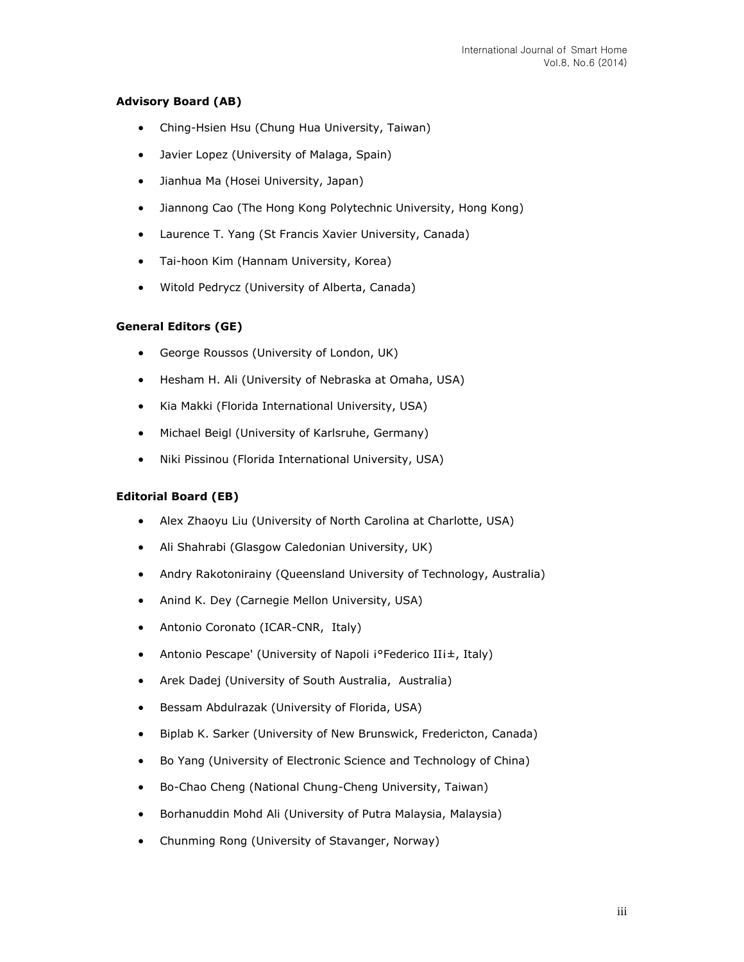## **Advisory Board (AB)**

- Ching-Hsien Hsu (Chung Hua University, Taiwan)
- Javier Lopez (University of Malaga, Spain)
- Jianhua Ma (Hosei University, Japan)
- Jiannong Cao (The Hong Kong Polytechnic University, Hong Kong)
- Laurence T. Yang (St Francis Xavier University, Canada)
- Tai-hoon Kim (Hannam University, Korea)
- Witold Pedrycz (University of Alberta, Canada)

## **General Editors (GE)**

- George Roussos (University of London, UK)
- Hesham H. Ali (University of Nebraska at Omaha, USA)
- Kia Makki (Florida International University, USA)
- Michael Beigl (University of Karlsruhe, Germany)
- Niki Pissinou (Florida International University, USA)

## **Editorial Board (EB)**

- Alex Zhaoyu Liu (University of North Carolina at Charlotte, USA)
- Ali Shahrabi (Glasgow Caledonian University, UK)
- Andry Rakotonirainy (Queensland University of Technology, Australia)
- Anind K. Dey (Carnegie Mellon University, USA)
- Antonio Coronato (ICAR-CNR, Italy)
- Antonio Pescape' (University of Napoli i°Federico IIi±, Italy)
- Arek Dadej (University of South Australia, Australia)
- Bessam Abdulrazak (University of Florida, USA)
- Biplab K. Sarker (University of New Brunswick, Fredericton, Canada)
- Bo Yang (University of Electronic Science and Technology of China)
- Bo-Chao Cheng (National Chung-Cheng University, Taiwan)
- Borhanuddin Mohd Ali (University of Putra Malaysia, Malaysia)
- Chunming Rong (University of Stavanger, Norway)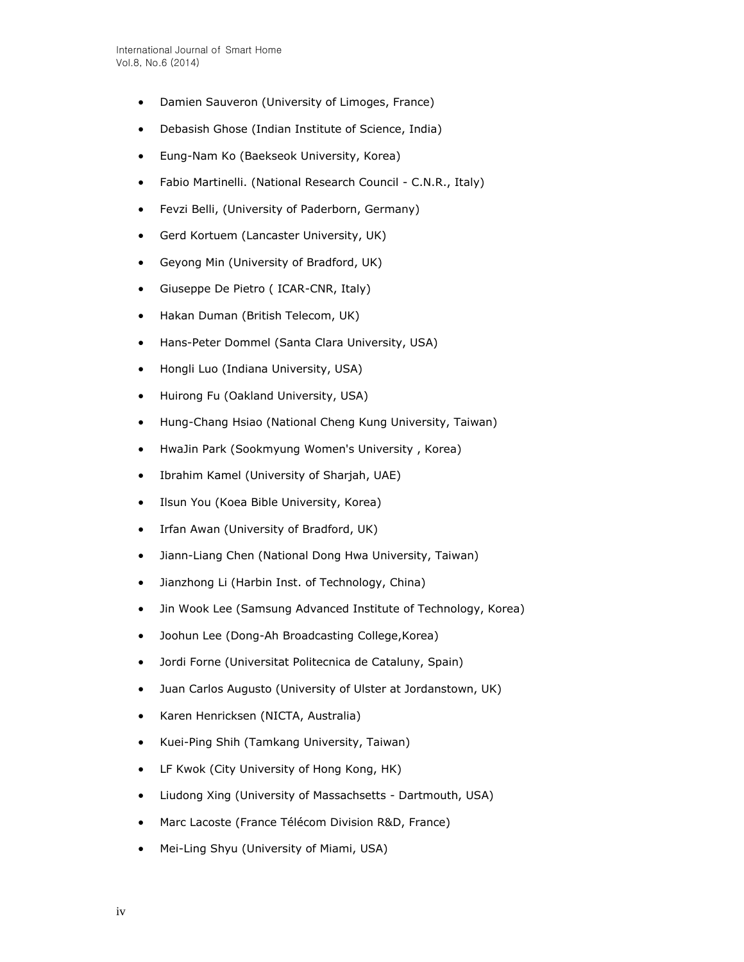- Damien Sauveron (University of Limoges, France)
- Debasish Ghose (Indian Institute of Science, India)
- Eung-Nam Ko (Baekseok University, Korea)
- Fabio Martinelli. (National Research Council C.N.R., Italy)
- Fevzi Belli, (University of Paderborn, Germany)
- Gerd Kortuem (Lancaster University, UK)
- Geyong Min (University of Bradford, UK)
- Giuseppe De Pietro ( ICAR-CNR, Italy)
- Hakan Duman (British Telecom, UK)
- Hans-Peter Dommel (Santa Clara University, USA)
- Hongli Luo (Indiana University, USA)
- Huirong Fu (Oakland University, USA)
- Hung-Chang Hsiao (National Cheng Kung University, Taiwan)
- HwaJin Park (Sookmyung Women's University , Korea)
- Ibrahim Kamel (University of Sharjah, UAE)
- Ilsun You (Koea Bible University, Korea)
- Irfan Awan (University of Bradford, UK)
- Jiann-Liang Chen (National Dong Hwa University, Taiwan)
- Jianzhong Li (Harbin Inst. of Technology, China)
- Jin Wook Lee (Samsung Advanced Institute of Technology, Korea)
- Joohun Lee (Dong-Ah Broadcasting College,Korea)
- Jordi Forne (Universitat Politecnica de Cataluny, Spain)
- Juan Carlos Augusto (University of Ulster at Jordanstown, UK)
- Karen Henricksen (NICTA, Australia)
- Kuei-Ping Shih (Tamkang University, Taiwan)
- LF Kwok (City University of Hong Kong, HK)
- Liudong Xing (University of Massachsetts Dartmouth, USA)
- Marc Lacoste (France Télécom Division R&D, France)
- Mei-Ling Shyu (University of Miami, USA)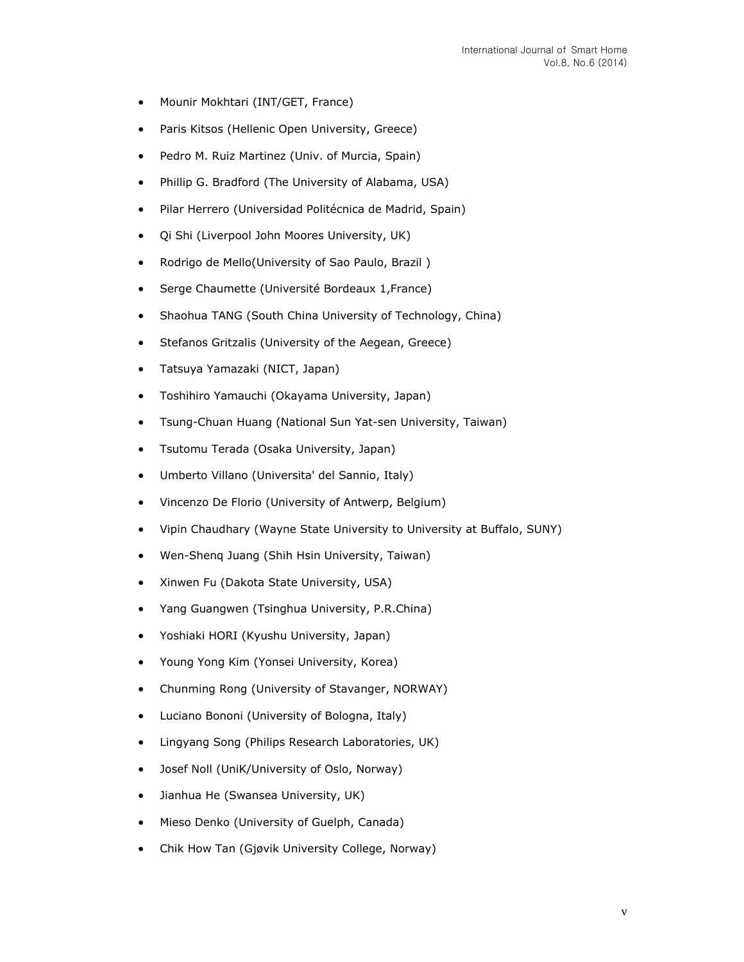- Mounir Mokhtari (INT/GET, France)
- Paris Kitsos (Hellenic Open University, Greece)
- Pedro M. Ruiz Martinez (Univ. of Murcia, Spain)
- Phillip G. Bradford (The University of Alabama, USA)
- Pilar Herrero (Universidad Politécnica de Madrid, Spain)
- Qi Shi (Liverpool John Moores University, UK)
- Rodrigo de Mello(University of Sao Paulo, Brazil)
- Serge Chaumette (Université Bordeaux 1,France)
- Shaohua TANG (South China University of Technology, China)
- Stefanos Gritzalis (University of the Aegean, Greece)
- Tatsuya Yamazaki (NICT, Japan)
- Toshihiro Yamauchi (Okayama University, Japan)
- Tsung-Chuan Huang (National Sun Yat-sen University, Taiwan)
- Tsutomu Terada (Osaka University, Japan)
- Umberto Villano (Universita' del Sannio, Italy)
- Vincenzo De Florio (University of Antwerp, Belgium)
- Vipin Chaudhary (Wayne State University to University at Buffalo, SUNY)
- Wen-Shenq Juang (Shih Hsin University, Taiwan)
- Xinwen Fu (Dakota State University, USA)
- Yang Guangwen (Tsinghua University, P.R.China)
- Yoshiaki HORI (Kyushu University, Japan)
- Young Yong Kim (Yonsei University, Korea)
- Chunming Rong (University of Stavanger, NORWAY)
- Luciano Bononi (University of Bologna, Italy)
- Lingyang Song (Philips Research Laboratories, UK)
- Josef Noll (UniK/University of Oslo, Norway)
- Jianhua He (Swansea University, UK)
- Mieso Denko (University of Guelph, Canada)
- Chik How Tan (Gjøvik University College, Norway)